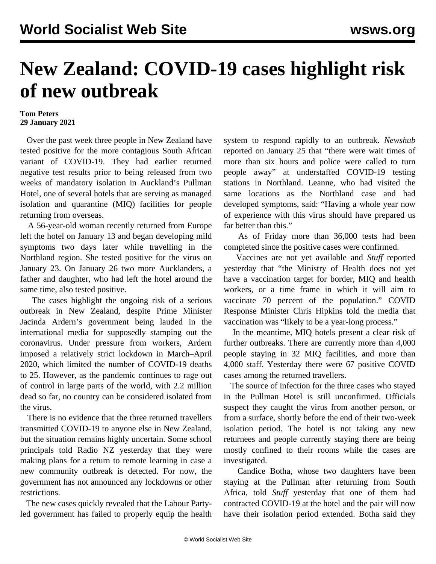## **New Zealand: COVID-19 cases highlight risk of new outbreak**

## **Tom Peters 29 January 2021**

 Over the past week three people in New Zealand have tested positive for the more contagious South African variant of COVID-19. They had earlier returned negative test results prior to being released from two weeks of mandatory isolation in Auckland's Pullman Hotel, one of several hotels that are serving as managed isolation and quarantine (MIQ) facilities for people returning from overseas.

 A 56-year-old woman recently returned from Europe left the hotel on January 13 and began developing mild symptoms two days later while travelling in the Northland region. She tested positive for the virus on January 23. On January 26 two more Aucklanders, a father and daughter, who had left the hotel around the same time, also tested positive.

 The cases highlight the ongoing risk of a serious outbreak in New Zealand, despite Prime Minister Jacinda Ardern's government being lauded in the international media for supposedly stamping out the coronavirus. Under pressure from workers, Ardern imposed a relatively strict lockdown in March–April 2020, which limited the number of COVID-19 deaths to 25. However, as the pandemic continues to rage out of control in large parts of the world, with 2.2 million dead so far, no country can be considered isolated from the virus.

 There is no evidence that the three returned travellers transmitted COVID-19 to anyone else in New Zealand, but the situation remains highly uncertain. Some school principals told Radio NZ yesterday that they were making plans for a return to remote learning in case a new community outbreak is detected. For now, the government has not announced any lockdowns or other restrictions.

 The new cases quickly revealed that the Labour Partyled government has failed to properly equip the health system to respond rapidly to an outbreak. *Newshub* reported on January 25 that "there were wait times of more than six hours and police were called to turn people away" at understaffed COVID-19 testing stations in Northland. Leanne, who had visited the same locations as the Northland case and had developed symptoms, said: "Having a whole year now of experience with this virus should have prepared us far better than this."

 As of Friday more than 36,000 tests had been completed since the positive cases were confirmed.

 Vaccines are not yet available and *Stuff* reported yesterday that "the Ministry of Health does not yet have a vaccination target for border, MIQ and health workers, or a time frame in which it will aim to vaccinate 70 percent of the population." COVID Response Minister Chris Hipkins told the media that vaccination was "likely to be a year-long process."

 In the meantime, MIQ hotels present a clear risk of further outbreaks. There are currently more than 4,000 people staying in 32 MIQ facilities, and more than 4,000 staff. Yesterday there were 67 positive COVID cases among the returned travellers.

 The source of infection for the three cases who stayed in the Pullman Hotel is still unconfirmed. Officials suspect they caught the virus from another person, or from a surface, shortly before the end of their two-week isolation period. The hotel is not taking any new returnees and people currently staying there are being mostly confined to their rooms while the cases are investigated.

 Candice Botha, whose two daughters have been staying at the Pullman after returning from South Africa, told *Stuff* yesterday that one of them had contracted COVID-19 at the hotel and the pair will now have their isolation period extended. Botha said they